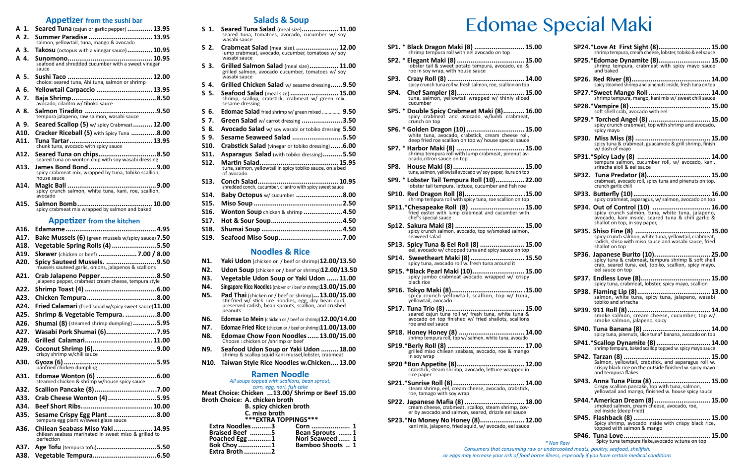- **A 1. Seared Tuna** (cajun or garlic pepper) **............. 13.95**
- **A 2. Summer Paradise ................................. 13.95** salmon, yellowtail, tuna, mango & avocado
- **A 3. Takosu** (octopus with a vinegar sauce)**............. 10.95**
- **A 4. Sunomono............................................ 10.95** seafood and shredded cucumber with a sweet vinegar sauce
- **A 5. Sushi Taco ............................................ 12.00** choice: seared tuna, Ahi tuna, salmon or shrimp
- **A 6. Yellowtail Carpaccio ............................. 13.95**
- **A 7. Baja Shrimp............................................8.50** avocado, cilantro w/ tiboko sauce
- **A 8. Salmon Tiradito .....................................9.50** tempura jalapeno, raw salmon, wasabi sauce
- **A 9. Seared Scallop (5)** w/ spicy Crabmeat**.......... 12.00**
- **A10. Cracker Riceball (5)** with Spicy Tuna **.............8.00**
- **A11. Tuna Tartar........................................... 13.95** chunk tuna, avocado with spicy sauce
- **A12. Seared Tuna on chips..............................8.50** seared tuna on wonton chip with soy wasabi dressing
- **A13. James Bond Bond...................................9.00** spicy crabmeat mix, wrapped by tuna, tobiko scallion, house sauce
- **A14. Magic Ball ..............................................9.00** spicy crunch salmon, white tuna, kani, roe, scallion, avocado
- **A15. Salmon Bomb....................................... 10.00** spicy crabmeat mix wrapped by salmon and baked

#### **Appetizer from the kitchen**

**A16. Edamame...............................................4.95 A17. Bake Mussels (6)** (green mussels w/spicy sauce) **7.50 A18. Vegetable Spring Rolls (4).......................5.50 A19. Skewer** (chicken or beef) **....................7.00 / 8.00 A20. Spicy Sauteed Mussels. ..........................9.50** mussels sauteed garlic, onions, jalapenos & scallions **A21. Crab Jalapeno Pepper.............................8.50** jalapeno pepper, crabmeat cream cheese, tempura style **A22. Shrimp Toast (4) .....................................6.00 A23. Chicken Tempura....................................8.00 A24. Fried Calamari** (fried squid w/spicy sweet sauce)**11.00 A25. Shrimp & Vegetable Tempura. ................8.00 A26. Shumai (8)** (steamed shrimp dumpling) **............5.95 A27. Wasabi Pork Shumai (6)..........................7.95 A28. Grilled Calamari................................... 11.00 A29. Coconut Shrimp (6).................................9.00** crispy shrimp w/chili sauce **A30. Gyoza (6)................................................5.95**  panfried chicken dumpling **A31. Edomae Wonton (6) ...............................6.00** steamed chicken & shrimp w/house spicy sauce **A32. Scallion Pancake (8)................................7.00 A33. Crab Cheese Wonton (4).........................5.95 A34. Beef Short Ribs..................................... 10.00 A35. Sesame Crispy Egg Plant.........................8.00** tempura egg plant w/sweet glaze sauce **A36. Chilean Seabass Miso Yaki.................... 14.95** chilean seabass marinated in sweet miso & grilled to perfection **A37. Age Tofu** (tempura tofu)**...............................5.50 A38. Vegetable Tempura.................................6.50**

#### **Salads & Soup**

- **S 1. Seared Tuna Salad** (meal size)**................... 11.00** seared tuna, tomatoes, avocado, cucumber w/ soy wasabi sauce
- **S 2. Crabmeat Salad** (meal size).**...................... 12.00** lump crabmeat, avocado, cucumber, tomatoes w/ soy wasabi sauce
- **S 3. Grilled Salmon Salad** (meal size)**............... 11.00** grilled salmon, avocado cucumber, tomatoes w/ soy wasabi sauce
- **S 4. Grilled Chicken Salad** w/ sesame dressing**......9.50**
- **S 5. Seafood Salad** (meal size) **......................... 15.00** shrimp, scallop, crabstick, crabmeat w/ green mix, sesame dressing
- **S 6. Edomae Salad** fried shrimp w/ green mixed ............... **9.50**
- **S 7. Green Salad** w/ carrot dressing **.....................3.50**
- **S 8. Avocado Salad** w/ soy wasabi or tobiko dressing **5.50**
- **S 9. Sesame Seaweed Salad ..........................5.50**
- **S10. Crabstick Salad** (vinegar or tobiko dressing)**......6.00**
- **S11. Asparagus Salad** (with tobiko dressing)**..........5.50**
- **S12. Martin Salad......................................... 15.95** tuna, salmon, yellowtail in spicy tobiko sauce, on a bed of avocado
- **S13. Conch Salad.......................................... 10.95** shredded conch, cucumber, cilantro with spicy sweet sauce
- **S14. Baby Octopus** w/ cucumber **........................8.00 S15. Miso Soup ..............................................2.50 S16. Wonton Soup** chicken & shrimp **....................4.50**
- **S17. Hot & Sour Soup.....................................4.50**
- **S18. Shumai Soup ..........................................4.50**
- **S19. Seafood Miso Soup.................................7.00**

#### **Noodles & Rice**

- **N1. Yaki Udon** (chicken or / beef or shrimp)**12.00/13.50**
- **N2. Udon Soup** (chicken or / beef or shrimp)**12.00/13.50**
- **N3. Vegetable Udon Soup or Yaki Udon ...... 11.00**
- **N4. Singapore Rice Noodles** (chicken or / beef or shrimp)**13.00/15.00**
- **N5. Pad Thai** (chicken or / beef or shrimp)**...13.00/15.00** stir-fried w/ stick rice noodles, egg, dry bean curd, preserved radish, bean sprouts, scallion, and crushed **peanuts**
- **N6. Edomae Lo Mein** (chicken or / beef or shrimp)**12.00/14.00**
- **N7. Edomae Fried Rice** (chicken or / beef or shrimp)**11.00/13.00**
- **N8.** Edomae Chow Foon Noodles......13.00/15.00<br>Choose : chicken or /shrimp or beef
- **N9. Seafood Udon Soup or Yaki Udon ......... 18.00** shrimp & scallop squid kani mussel,lobster, crabmeat
- **N10. Taiwan Style Rice Noodles w.Chicken.... 13.00**

#### **Ramen Noodle**

*All soups topped with scallions, bean sprout, corn, egg, nori, fish cake* **Meat Choice: Chicken ...13.00/ Shrimp or Beef 15.00 Broth Choice: A. chicken broth B. spicy chicken broth C. miso broth \*\*\*EXTRA TOPPINGS\*\*\* Extra Noodles..........3 Corn .................... 1**

| <b>Braised Beef 5</b> | Bean Sprouts 1          |
|-----------------------|-------------------------|
| Poached Egg 1         | Nori Seaweed  1         |
| <b>Bok Choy</b> 1     | <b>Bamboo Shoots  1</b> |
| <b>Extra Broth 2</b>  |                         |

# Appetizer from the sushi bar<br>red Tuna (cajun or garlic pepper) ............... 13.95 s 1. Seared Tuna Salad (meal size).................... 11.00 Edomae Special Maki

- **SP1. \* Black Dragon Maki (8) .......................... 15.00** shrimp tempura roll with eel avocado on top
- **SP2. \* Elegant Maki (8) ................................... 15.00** lobster tail & sweet potato tempura, avocado, eel & roe in soy wrap, with house sauce
- **SP3. Crazy Roll (8) ........................................ 14.00** spicy crunch tuna roll w. fresh salmon, roe, scallion on top
- **SP4. Chef Sampler (8)................................... 15.00** tuna, salmon, yellowtail wrapped w/ thinly sliced cucumber
- **SP5. \* Double Spicy Crabmeat Maki (8)........... 16.00** spicy crabmeat and avocado w/lumb crabmeat, crunch on top
- **SP6. \* Golden Dragon (10) .............................. 15.00** white tuna, avocado, crabstick, cream cheese roll, deep fried roe scallion on top w/ house special sauce
- **SP7. \* Harbor Maki (8) ................................... 15.00** shrimp tempura roll with lump crabmeat, pinenut av-<br>ocado,citron sauce on top
- **SP8. House Maki (8)..................................... 15.00** tuna, salmon, yellowtail avocado w/ soy paper, ikura on top
- **SP9. \* Lobster Tail Tempura Roll (10)............... 22.00** lobster tail tempura, lettuce, cucumber and fish roe
- **SP10. Red Dragon Roll (8).............................. .15.00** shrimp tempura roll with spicy tuna, roe scallion on top
- **SP11.\*Chesapeake Roll (8) ............................ 15.00** fried oyster with lump crabmeat and cucumber with chef's special sauce
- **Sp12. Sakura Maki (8) .................................... 15.00** spicy crunch salmon, avocado, top w/smoked salmon, seaweed salad
- **SP13. Spicy Tuna & Eel Roll (8) ....................... 15.00** eel, avocado w/ chopped tuna and spicy sauce on top
- **SP14. Sweetheart Maki (8)............................ 15.50** spicy tuna, avocado roll w. fresh tuna around it
- **SP15. \*Black Pearl Maki (10)........................... 15.00** spicy jumbo crabmeat avocado wrapped w/ crispy black rice
- **SP16. Tokyo Maki (8)..................................... .15.00** spicy crunch yellowtail, scallion, top w/ tuna, yellowtail, avocado
- **SP17. Tuna Trio (8)......................................... 15.00** seared cajun tuna roll w/ fresh tuna, white tuna & avocado on top finished w/ fried shallots, scallions roe and eel sauce
- **SP18. Honey Honey (8) .................................. 14.00** shrimp tempura roll, top w/ salmon, white tuna, avocado
- **SP19.\*Berly Roll (8) ........................................ 17.00** grilled miso chilean seabass, avocado, roe & mango in soy wrap
- **SP20 \*Bon Appetite (8)................................... 12.00** crabstick, steam shrimp, avocado, lettuce wrapped in rice paper
- **SP21.\*Sunrise Roll (8)..................................... 14.00** steam shrimp, eel, cream cheese, avocado, crabstick, roe, tamago with soy wrap
- **SP22. Japanese Mafia (8) ............................... 18.00** er by avocado and salmon, seared, drizzle eel sauce
- **SP23.\*No Money No Honey (8)....................... 12.00** kani mix, jalapeno, fried squid, w/ avocado, eel sauce

| SP24.*Love At First Sight (8) 1<br>shrimp tempura, cream cheese, lobster, tobiko & eel sauce<br>15.00                                                                       |
|-----------------------------------------------------------------------------------------------------------------------------------------------------------------------------|
| SP25.*Edomae Dynamite (8) 15.00<br>shrimp tempura, crabmeat with spicy mayo sauce<br>and baked                                                                              |
| spicy steamed shrimp and pinenuts inside, fresh tuna on top                                                                                                                 |
| shrimp tempura, mango, kani mix w/ sweet chili sauce                                                                                                                        |
|                                                                                                                                                                             |
| spicy crunch crabmeat, top with shrimp and avocado,<br>spicy mayo                                                                                                           |
| spicy tuna & crabmeat, guacamole & grill shrimp, finish<br>w/ dash of mayo                                                                                                  |
| sriracha aioli & eel sauce                                                                                                                                                  |
| SP32. Tuna Predator (8) 15.00<br>crabmeat, avocado roll, spicy tuna and pinenuts on top,<br>crunch garlic chili                                                             |
| 16.00<br>SP33. Butterfly (10)<br>spicy crabmeat, asparagus, w/ salmon, avocado on top                                                                                       |
| SP34. Out of Control (10)  16.00<br>spicy crunch salmon, tuna, white tuna, jalapeno,<br>avocado, kani inside. seared tuna & chili garlic &<br>shallot on top, in soy paper, |
| spicy crunch salmon, white tuna, yellowtail, crabmeat,<br>radish, shiso with miso sauce and wasabi sauce, fried<br>shallot on top                                           |
| SP36. Japanese Burito (10) 25.00<br>spicy tuna & crabmeat, tempura shrimp & soft shell<br>crab, seared tuna, eel, tobiko, scallion, spicy mayo,<br>eel sauce on top         |
| spicy tuna, crabmeat, lobster, spicy mayo, scallion                                                                                                                         |
| salmon, white tuna, spicy tuna, jalapeno, wasabi<br>tobiko and sriracha                                                                                                     |
| smoke salmon, jalapeno, spicy                                                                                                                                               |
|                                                                                                                                                                             |
| SP41.*Scallop Dynamite (8)  14.00<br>shrimp tempura, baked scallop topped w. spicy mayo sauce                                                                               |
| crispy black rice on the outside finished w. spicy mayo<br>and tempura flakes                                                                                               |
| SP43. Anna Tuna Pizza (8)  15.00<br>Crispy scallion pancake, top with tuna, salmon,<br>yellowtail and mango, finished w. house spicy sauce                                  |
| SP44.* American Dream (8)  15.00<br>smoked salmon, cream cheese, avocado, roe,<br>eel inside (deep fried)                                                                   |
| Spicy shrimp, avocado inside with crispy black rice,<br>topped with salmon & mango                                                                                          |
| Spicy tuna tempura flake, avocado w.tuna on top                                                                                                                             |
| meats, poultry, seafood, shellfish,                                                                                                                                         |